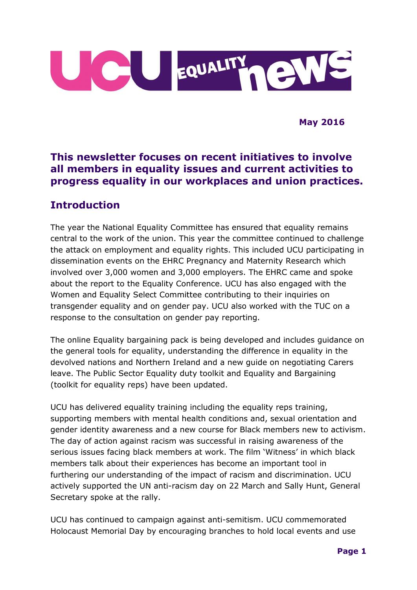

**May 2016**

#### **This newsletter focuses on recent initiatives to involve all members in equality issues and current activities to progress equality in our workplaces and union practices.**

### **Introduction**

The year the National Equality Committee has ensured that equality remains central to the work of the union. This year the committee continued to challenge the attack on employment and equality rights. This included UCU participating in dissemination events on the EHRC Pregnancy and Maternity Research which involved over 3,000 women and 3,000 employers. The EHRC came and spoke about the report to the Equality Conference. UCU has also engaged with the Women and Equality Select Committee contributing to their inquiries on transgender equality and on gender pay. UCU also worked with the TUC on a response to the consultation on gender pay reporting.

The online Equality bargaining pack is being developed and includes guidance on the general tools for equality, understanding the difference in equality in the devolved nations and Northern Ireland and a new guide on negotiating Carers leave. The Public Sector Equality duty toolkit and Equality and Bargaining (toolkit for equality reps) have been updated.

UCU has delivered equality training including the equality reps training, supporting members with mental health conditions and, sexual orientation and gender identity awareness and a new course for Black members new to activism. The day of action against racism was successful in raising awareness of the serious issues facing black members at work. The film 'Witness' in which black members talk about their experiences has become an important tool in furthering our understanding of the impact of racism and discrimination. UCU actively supported the UN anti-racism day on 22 March and Sally Hunt, General Secretary spoke at the rally.

UCU has continued to campaign against anti-semitism. UCU commemorated Holocaust Memorial Day by encouraging branches to hold local events and use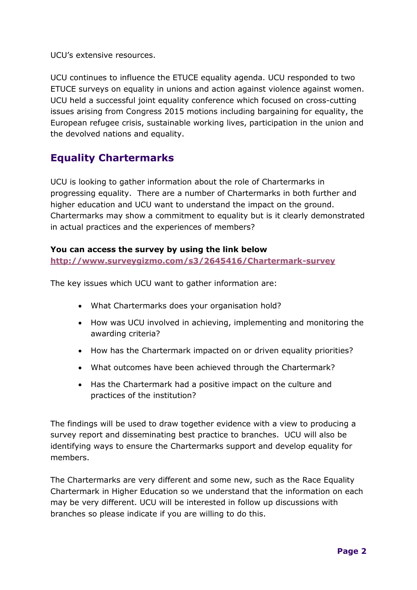UCU's extensive resources.

UCU continues to influence the ETUCE equality agenda. UCU responded to two ETUCE surveys on equality in unions and action against violence against women. UCU held a successful joint equality conference which focused on cross-cutting issues arising from Congress 2015 motions including bargaining for equality, the European refugee crisis, sustainable working lives, participation in the union and the devolved nations and equality.

## **Equality Chartermarks**

UCU is looking to gather information about the role of Chartermarks in progressing equality. There are a number of Chartermarks in both further and higher education and UCU want to understand the impact on the ground. Chartermarks may show a commitment to equality but is it clearly demonstrated in actual practices and the experiences of members?

#### **You can access the survey by using the link below**

**<http://www.surveygizmo.com/s3/2645416/Chartermark-survey>**

The key issues which UCU want to gather information are:

- What Chartermarks does your organisation hold?
- How was UCU involved in achieving, implementing and monitoring the awarding criteria?
- How has the Chartermark impacted on or driven equality priorities?
- What outcomes have been achieved through the Chartermark?
- Has the Chartermark had a positive impact on the culture and practices of the institution?

The findings will be used to draw together evidence with a view to producing a survey report and disseminating best practice to branches. UCU will also be identifying ways to ensure the Chartermarks support and develop equality for members.

The Chartermarks are very different and some new, such as the Race Equality Chartermark in Higher Education so we understand that the information on each may be very different. UCU will be interested in follow up discussions with branches so please indicate if you are willing to do this.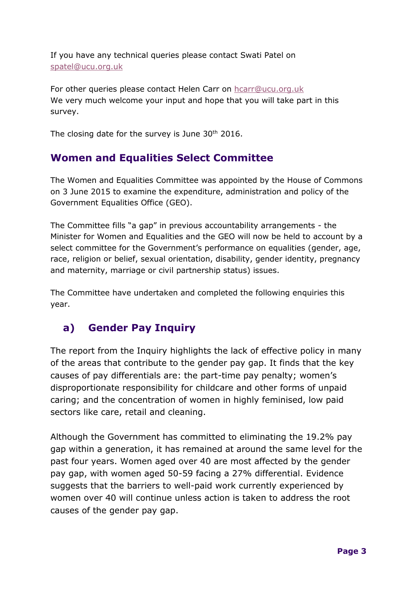If you have any technical queries please contact Swati Patel on [spatel@ucu.org.uk](mailto:spatel@ucu.org.uk)

For other queries please contact Helen Carr on [hcarr@ucu.org.uk](mailto:hcarr@ucu.org.uk) We very much welcome your input and hope that you will take part in this survey.

The closing date for the survey is June  $30<sup>th</sup>$  2016.

## **Women and Equalities Select Committee**

The Women and Equalities Committee was appointed by the House of Commons on 3 June 2015 to examine the expenditure, administration and policy of the Government Equalities Office (GEO).

The Committee fills "a gap" in previous accountability arrangements - the Minister for Women and Equalities and the GEO will now be held to account by a select committee for the Government's performance on equalities (gender, age, race, religion or belief, sexual orientation, disability, gender identity, pregnancy and maternity, marriage or civil partnership status) issues.

The Committee have undertaken and completed the following enquiries this year.

# **a) Gender Pay Inquiry**

The report from the Inquiry highlights the lack of effective policy in many of the areas that contribute to the gender pay gap. It finds that the key causes of pay differentials are: the part-time pay penalty; women's disproportionate responsibility for childcare and other forms of unpaid caring; and the concentration of women in highly feminised, low paid sectors like care, retail and cleaning.

Although the Government has committed to eliminating the 19.2% pay gap within a generation, it has remained at around the same level for the past four years. Women aged over 40 are most affected by the gender pay gap, with women aged 50-59 facing a 27% differential. Evidence suggests that the barriers to well-paid work currently experienced by women over 40 will continue unless action is taken to address the root causes of the gender pay gap.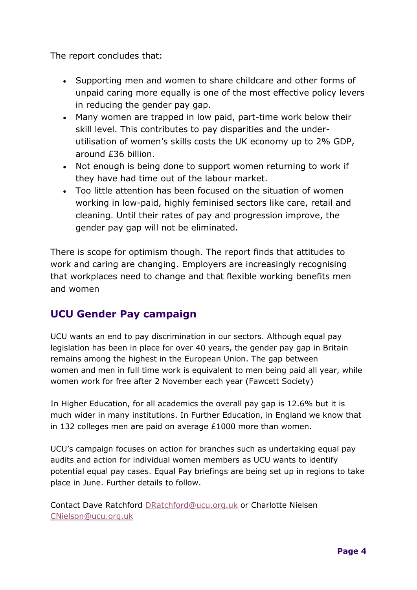The report concludes that:

- Supporting men and women to share childcare and other forms of unpaid caring more equally is one of the most effective policy levers in reducing the gender pay gap.
- Many women are trapped in low paid, part-time work below their skill level. This contributes to pay disparities and the underutilisation of women's skills costs the UK economy up to 2% GDP, around £36 billion.
- Not enough is being done to support women returning to work if they have had time out of the labour market.
- Too little attention has been focused on the situation of women working in low-paid, highly feminised sectors like care, retail and cleaning. Until their rates of pay and progression improve, the gender pay gap will not be eliminated.

There is scope for optimism though. The report finds that attitudes to work and caring are changing. Employers are increasingly recognising that workplaces need to change and that flexible working benefits men and women

## **UCU Gender Pay campaign**

UCU wants an end to pay discrimination in our sectors. Although equal pay legislation has been in place for over 40 years, the gender pay gap in Britain remains among the highest in the European Union. The gap between women and men in full time work is equivalent to men being paid all year, while women work for free after 2 November each year (Fawcett Society)

In Higher Education, for all academics the overall pay gap is 12.6% but it is much wider in many institutions. In Further Education, in England we know that in 132 colleges men are paid on average £1000 more than women.

UCU's campaign focuses on action for branches such as undertaking equal pay audits and action for individual women members as UCU wants to identify potential equal pay cases. Equal Pay briefings are being set up in regions to take place in June. Further details to follow.

Contact Dave Ratchford [DRatchford@ucu.org.uk](mailto:DRatchford@ucu.org.uk) or Charlotte Nielsen [CNielson@ucu.org.uk](mailto:CNielson@ucu.org.uk)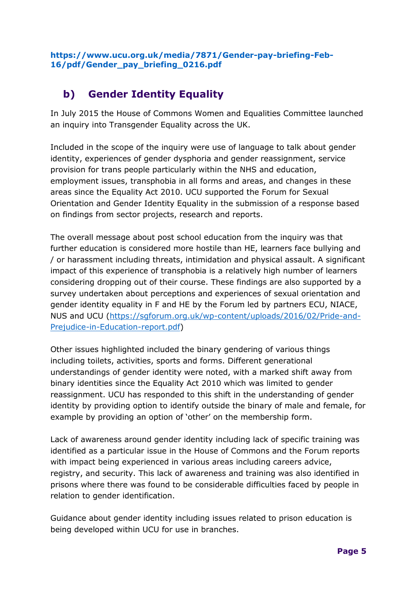# **b) Gender Identity Equality**

In July 2015 the House of Commons Women and Equalities Committee launched an inquiry into Transgender Equality across the UK.

Included in the scope of the inquiry were use of language to talk about gender identity, experiences of gender dysphoria and gender reassignment, service provision for trans people particularly within the NHS and education, employment issues, transphobia in all forms and areas, and changes in these areas since the Equality Act 2010. UCU supported the Forum for Sexual Orientation and Gender Identity Equality in the submission of a response based on findings from sector projects, research and reports.

The overall message about post school education from the inquiry was that further education is considered more hostile than HE, learners face bullying and / or harassment including threats, intimidation and physical assault. A significant impact of this experience of transphobia is a relatively high number of learners considering dropping out of their course. These findings are also supported by a survey undertaken about perceptions and experiences of sexual orientation and gender identity equality in F and HE by the Forum led by partners ECU, NIACE, NUS and UCU [\(https://sgforum.org.uk/wp-content/uploads/2016/02/Pride-and-](https://sgforum.org.uk/wp-content/uploads/2016/02/Pride-and-Prejudice-in-Education-report.pdf)[Prejudice-in-Education-report.pdf\)](https://sgforum.org.uk/wp-content/uploads/2016/02/Pride-and-Prejudice-in-Education-report.pdf)

Other issues highlighted included the binary gendering of various things including toilets, activities, sports and forms. Different generational understandings of gender identity were noted, with a marked shift away from binary identities since the Equality Act 2010 which was limited to gender reassignment. UCU has responded to this shift in the understanding of gender identity by providing option to identify outside the binary of male and female, for example by providing an option of 'other' on the membership form.

Lack of awareness around gender identity including lack of specific training was identified as a particular issue in the House of Commons and the Forum reports with impact being experienced in various areas including careers advice, registry, and security. This lack of awareness and training was also identified in prisons where there was found to be considerable difficulties faced by people in relation to gender identification.

Guidance about gender identity including issues related to prison education is being developed within UCU for use in branches.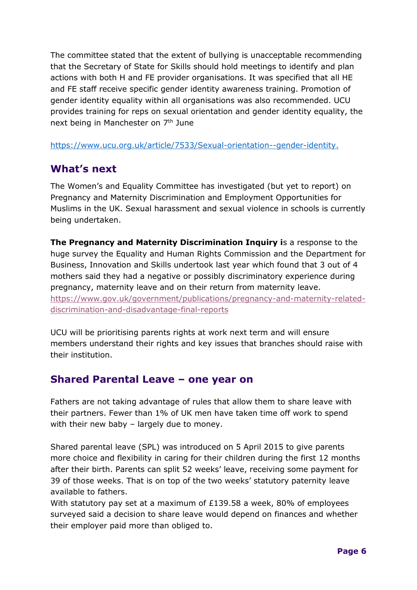The committee stated that the extent of bullying is unacceptable recommending that the Secretary of State for Skills should hold meetings to identify and plan actions with both H and FE provider organisations. It was specified that all HE and FE staff receive specific gender identity awareness training. Promotion of gender identity equality within all organisations was also recommended. UCU provides training for reps on sexual orientation and gender identity equality, the next being in Manchester on 7<sup>th</sup> June

[https://www.ucu.org.uk/article/7533/Sexual-orientation--gender-identity.](https://www.ucu.org.uk/article/7533/Sexual-orientation--gender-identity)

### **What's next**

The Women's and Equality Committee has investigated (but yet to report) on Pregnancy and Maternity Discrimination and Employment Opportunities for Muslims in the UK. Sexual harassment and sexual violence in schools is currently being undertaken.

**The Pregnancy and Maternity Discrimination Inquiry i**s a response to the huge survey the Equality and Human Rights Commission and the Department for Business, Innovation and Skills undertook last year which found that 3 out of 4 mothers said they had a negative or possibly discriminatory experience during pregnancy, maternity leave and on their return from maternity leave. [https://www.gov.uk/government/publications/pregnancy-and-maternity-related](https://www.gov.uk/government/publications/pregnancy-and-maternity-related-discrimination-and-disadvantage-final-reports)[discrimination-and-disadvantage-final-reports](https://www.gov.uk/government/publications/pregnancy-and-maternity-related-discrimination-and-disadvantage-final-reports)

UCU will be prioritising parents rights at work next term and will ensure members understand their rights and key issues that branches should raise with their institution.

#### **Shared Parental Leave – one year on**

Fathers are not taking advantage of rules that allow them to share leave with their partners. Fewer than 1% of UK men have taken time off work to spend with their new baby – largely due to money.

Shared parental leave (SPL) was introduced on 5 April 2015 to give parents more choice and flexibility in caring for their children during the first 12 months after their birth. Parents can split 52 weeks' leave, receiving some payment for 39 of those weeks. That is on top of the two weeks' statutory paternity leave available to fathers.

With statutory pay set at a maximum of  $£139.58$  a week, 80% of employees surveyed said a decision to share leave would depend on finances and whether their employer paid more than obliged to.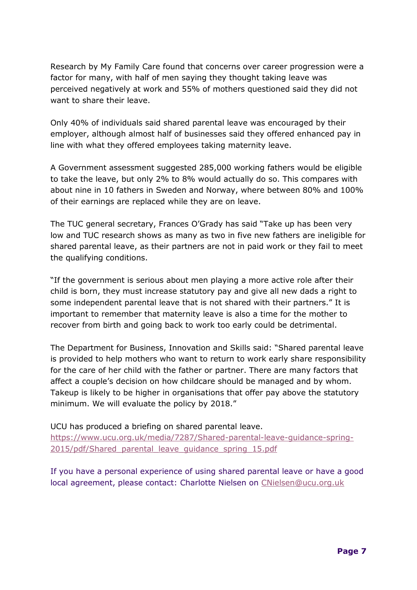Research by My Family Care found that concerns over career progression were a factor for many, with half of men saying they thought taking leave was perceived negatively at work and 55% of mothers questioned said they did not want to share their leave.

Only 40% of individuals said shared parental leave was encouraged by their employer, although almost half of businesses said they offered enhanced pay in line with what they offered employees taking maternity leave.

A Government assessment suggested 285,000 working fathers would be eligible to take the leave, but only 2% to 8% would actually do so. This compares with about nine in 10 fathers in Sweden and Norway, where between 80% and 100% of their earnings are replaced while they are on leave.

The TUC general secretary, Frances O'Grady has said "Take up has been very low and TUC research shows as many as two in five new fathers are ineligible for shared parental leave, as their partners are not in paid work or they fail to meet the qualifying conditions.

"If the government is serious about men playing a more active role after their child is born, they must increase statutory pay and give all new dads a right to some independent parental leave that is not shared with their partners." It is important to remember that maternity leave is also a time for the mother to recover from birth and going back to work too early could be detrimental.

The Department for Business, Innovation and Skills said: "Shared parental leave is provided to help mothers who want to return to work early share responsibility for the care of her child with the father or partner. There are many factors that affect a couple's decision on how childcare should be managed and by whom. Takeup is likely to be higher in organisations that offer pay above the statutory minimum. We will evaluate the policy by 2018."

UCU has produced a briefing on shared parental leave. [https://www.ucu.org.uk/media/7287/Shared-parental-leave-guidance-spring-](https://www.ucu.org.uk/media/7287/Shared-parental-leave-guidance-spring-2015/pdf/Shared_parental_leave_guidance_spring_15.pdf)[2015/pdf/Shared\\_parental\\_leave\\_guidance\\_spring\\_15.pdf](https://www.ucu.org.uk/media/7287/Shared-parental-leave-guidance-spring-2015/pdf/Shared_parental_leave_guidance_spring_15.pdf)

If you have a personal experience of using shared parental leave or have a good local agreement, please contact: Charlotte Nielsen on [CNielsen@ucu.org.uk](mailto:CNielsen@ucu.org.uk)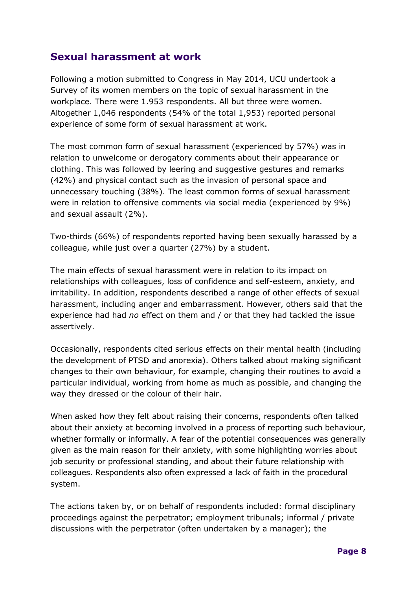### **Sexual harassment at work**

Following a motion submitted to Congress in May 2014, UCU undertook a Survey of its women members on the topic of sexual harassment in the workplace. There were 1.953 respondents. All but three were women. Altogether 1,046 respondents (54% of the total 1,953) reported personal experience of some form of sexual harassment at work.

The most common form of sexual harassment (experienced by 57%) was in relation to unwelcome or derogatory comments about their appearance or clothing. This was followed by leering and suggestive gestures and remarks (42%) and physical contact such as the invasion of personal space and unnecessary touching (38%). The least common forms of sexual harassment were in relation to offensive comments via social media (experienced by 9%) and sexual assault (2%).

Two-thirds (66%) of respondents reported having been sexually harassed by a colleague, while just over a quarter (27%) by a student.

The main effects of sexual harassment were in relation to its impact on relationships with colleagues, loss of confidence and self-esteem, anxiety, and irritability. In addition, respondents described a range of other effects of sexual harassment, including anger and embarrassment. However, others said that the experience had had *no* effect on them and / or that they had tackled the issue assertively.

Occasionally, respondents cited serious effects on their mental health (including the development of PTSD and anorexia). Others talked about making significant changes to their own behaviour, for example, changing their routines to avoid a particular individual, working from home as much as possible, and changing the way they dressed or the colour of their hair.

When asked how they felt about raising their concerns, respondents often talked about their anxiety at becoming involved in a process of reporting such behaviour, whether formally or informally. A fear of the potential consequences was generally given as the main reason for their anxiety, with some highlighting worries about job security or professional standing, and about their future relationship with colleagues. Respondents also often expressed a lack of faith in the procedural system.

The actions taken by, or on behalf of respondents included: formal disciplinary proceedings against the perpetrator; employment tribunals; informal / private discussions with the perpetrator (often undertaken by a manager); the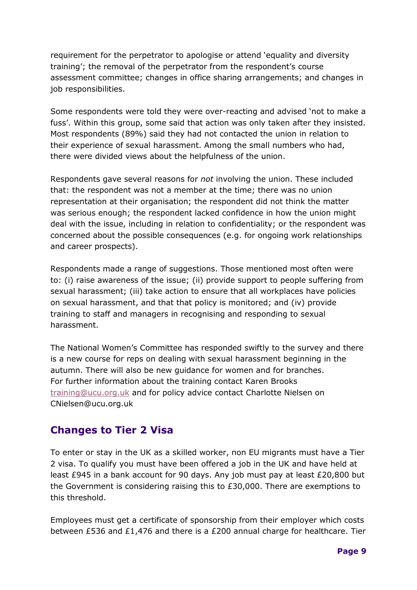requirement for the perpetrator to apologise or attend 'equality and diversity training'; the removal of the perpetrator from the respondent's course assessment committee; changes in office sharing arrangements; and changes in job responsibilities.

Some respondents were told they were over-reacting and advised 'not to make a fuss'. Within this group, some said that action was only taken after they insisted. Most respondents (89%) said they had not contacted the union in relation to their experience of sexual harassment. Among the small numbers who had, there were divided views about the helpfulness of the union.

Respondents gave several reasons for *not* involving the union. These included that: the respondent was not a member at the time; there was no union representation at their organisation; the respondent did not think the matter was serious enough; the respondent lacked confidence in how the union might deal with the issue, including in relation to confidentiality; or the respondent was concerned about the possible consequences (e.g. for ongoing work relationships and career prospects).

Respondents made a range of suggestions. Those mentioned most often were to: (i) raise awareness of the issue; (ii) provide support to people suffering from sexual harassment; (iii) take action to ensure that all workplaces have policies on sexual harassment, and that that policy is monitored; and (iv) provide training to staff and managers in recognising and responding to sexual harassment.

The National Women's Committee has responded swiftly to the survey and there is a new course for reps on dealing with sexual harassment beginning in the autumn. There will also be new guidance for women and for branches. For further information about the training contact Karen Brooks [training@ucu.org.uk](mailto:training@ucu.org.uk) and for policy advice contact Charlotte Nielsen on CNielsen@ucu.org.uk

### **Changes to Tier 2 Visa**

To enter or stay in the UK as a skilled worker, non EU migrants must have a Tier 2 visa. To qualify you must have been offered a job in the UK and have held at least £945 in a bank account for 90 days. Any job must pay at least £20,800 but the Government is considering raising this to £30,000. There are exemptions to this threshold.

Employees must get a certificate of sponsorship from their employer which costs between £536 and £1,476 and there is a £200 annual charge for healthcare. Tier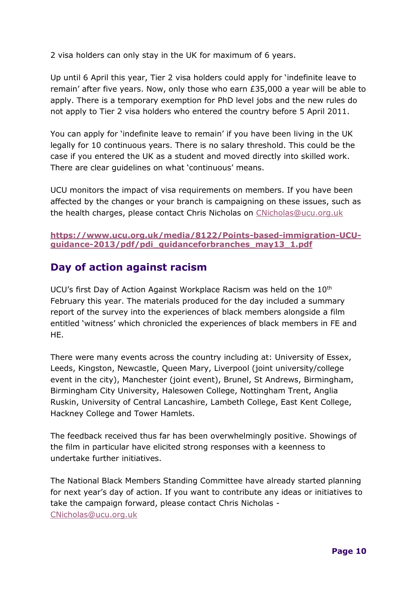2 visa holders can only stay in the UK for maximum of 6 years.

Up until 6 April this year, Tier 2 visa holders could apply for 'indefinite leave to remain' after five years. Now, only those who earn £35,000 a year will be able to apply. There is a temporary exemption for PhD level jobs and the new rules do not apply to Tier 2 visa holders who entered the country before 5 April 2011.

You can apply for 'indefinite leave to remain' if you have been living in the UK legally for 10 continuous years. There is no salary threshold. This could be the case if you entered the UK as a student and moved directly into skilled work. There are clear guidelines on what 'continuous' means.

UCU monitors the impact of visa requirements on members. If you have been affected by the changes or your branch is campaigning on these issues, such as the health charges, please contact Chris Nicholas on [CNicholas@ucu.org.uk](mailto:CNicholas@ucu.org.uk)

**[https://www.ucu.org.uk/media/8122/Points-based-immigration-UCU](https://www.ucu.org.uk/media/8122/Points-based-immigration-UCU-guidance-2013/pdf/pdi_guidanceforbranches_may13_1.pdf)[guidance-2013/pdf/pdi\\_guidanceforbranches\\_may13\\_1.pdf](https://www.ucu.org.uk/media/8122/Points-based-immigration-UCU-guidance-2013/pdf/pdi_guidanceforbranches_may13_1.pdf)**

### **Day of action against racism**

UCU's first Day of Action Against Workplace Racism was held on the 10<sup>th</sup> February this year. The materials produced for the day included a summary report of the survey into the experiences of black members alongside a film entitled 'witness' which chronicled the experiences of black members in FE and HE.

There were many events across the country including at: University of Essex, Leeds, Kingston, Newcastle, Queen Mary, Liverpool (joint university/college event in the city), Manchester (joint event), Brunel, St Andrews, Birmingham, Birmingham City University, Halesowen College, Nottingham Trent, Anglia Ruskin, University of Central Lancashire, Lambeth College, East Kent College, Hackney College and Tower Hamlets.

The feedback received thus far has been overwhelmingly positive. Showings of the film in particular have elicited strong responses with a keenness to undertake further initiatives.

The National Black Members Standing Committee have already started planning for next year's day of action. If you want to contribute any ideas or initiatives to take the campaign forward, please contact Chris Nicholas - [CNicholas@ucu.org.uk](mailto:CNicholas@ucu.org.uk)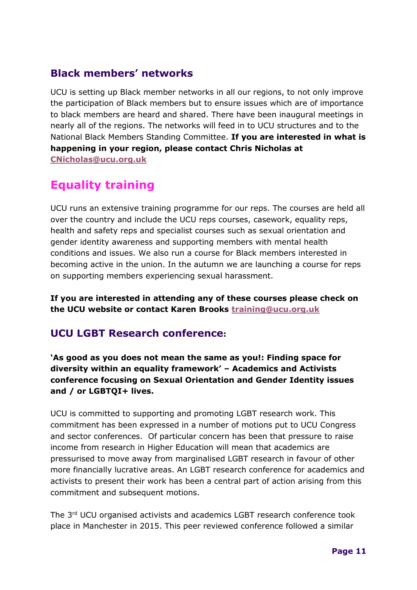## **Black members' networks**

UCU is setting up Black member networks in all our regions, to not only improve the participation of Black members but to ensure issues which are of importance to black members are heard and shared. There have been inaugural meetings in nearly all of the regions. The networks will feed in to UCU structures and to the National Black Members Standing Committee. **If you are interested in what is happening in your region, please contact Chris Nicholas at [CNicholas@ucu.org.uk](mailto:CNicholas@ucu.org.uk)**

# **Equality training**

UCU runs an extensive training programme for our reps. The courses are held all over the country and include the UCU reps courses, casework, equality reps, health and safety reps and specialist courses such as sexual orientation and gender identity awareness and supporting members with mental health conditions and issues. We also run a course for Black members interested in becoming active in the union. In the autumn we are launching a course for reps on supporting members experiencing sexual harassment.

**If you are interested in attending any of these courses please check on the UCU website or contact Karen Brooks [training@ucu.org.uk](mailto:training@ucu.org.uk)**

### **UCU LGBT Research conference:**

**'As good as you does not mean the same as you!: Finding space for diversity within an equality framework' – Academics and Activists conference focusing on Sexual Orientation and Gender Identity issues and / or LGBTQI+ lives.**

UCU is committed to supporting and promoting LGBT research work. This commitment has been expressed in a number of motions put to UCU Congress and sector conferences. Of particular concern has been that pressure to raise income from research in Higher Education will mean that academics are pressurised to move away from marginalised LGBT research in favour of other more financially lucrative areas. An LGBT research conference for academics and activists to present their work has been a central part of action arising from this commitment and subsequent motions.

The 3rd UCU organised activists and academics LGBT research conference took place in Manchester in 2015. This peer reviewed conference followed a similar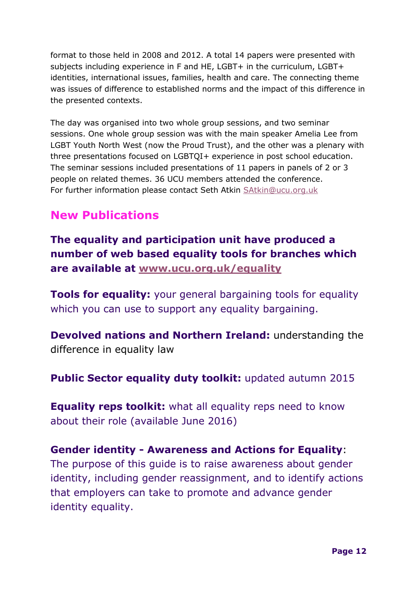format to those held in 2008 and 2012. A total 14 papers were presented with subjects including experience in F and HE, LGBT+ in the curriculum, LGBT+ identities, international issues, families, health and care. The connecting theme was issues of difference to established norms and the impact of this difference in the presented contexts.

The day was organised into two whole group sessions, and two seminar sessions. One whole group session was with the main speaker Amelia Lee from LGBT Youth North West (now the Proud Trust), and the other was a plenary with three presentations focused on LGBTQI+ experience in post school education. The seminar sessions included presentations of 11 papers in panels of 2 or 3 people on related themes. 36 UCU members attended the conference. For further information please contact Seth Atkin [SAtkin@ucu.org.uk](mailto:SAtkin@ucu.org.uk)

# **New Publications**

**The equality and participation unit have produced a number of web based equality tools for branches which are available at [www.ucu.org.uk/equality](http://www.ucu.org.uk/equality)**

**Tools for equality:** your general bargaining tools for equality which you can use to support any equality bargaining.

**Devolved nations and Northern Ireland:** understanding the difference in equality law

**Public Sector equality duty toolkit:** updated autumn 2015

**Equality reps toolkit:** what all equality reps need to know about their role (available June 2016)

**Gender identity - Awareness and Actions for Equality**: The purpose of this guide is to raise awareness about gender identity, including gender reassignment, and to identify actions that employers can take to promote and advance gender identity equality.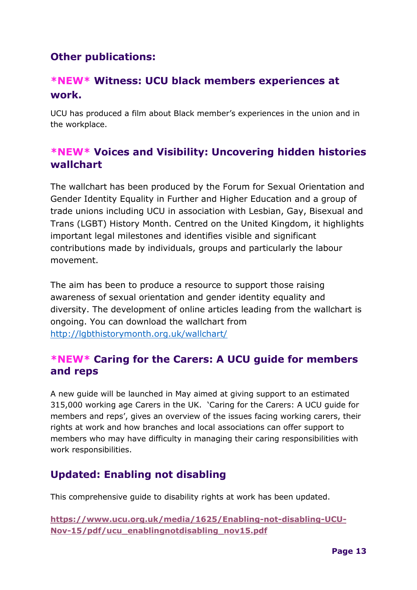## **Other publications:**

## **\*NEW\* Witness: UCU black members experiences at work.**

UCU has produced a film about Black member's experiences in the union and in the workplace.

## **\*NEW\* Voices and Visibility: Uncovering hidden histories wallchart**

The wallchart has been produced by the Forum for Sexual Orientation and Gender Identity Equality in Further and Higher Education and a group of trade unions including UCU in association with Lesbian, Gay, Bisexual and Trans (LGBT) History Month. Centred on the United Kingdom, it highlights important legal milestones and identifies visible and significant contributions made by individuals, groups and particularly the labour movement.

The aim has been to produce a resource to support those raising awareness of sexual orientation and gender identity equality and diversity. The development of online articles leading from the wallchart is ongoing. You can download the wallchart from <http://lgbthistorymonth.org.uk/wallchart/>

### **\*NEW\* Caring for the Carers: A UCU guide for members and reps**

A new guide will be launched in May aimed at giving support to an estimated 315,000 working age Carers in the UK. 'Caring for the Carers: A UCU guide for members and reps', gives an overview of the issues facing working carers, their rights at work and how branches and local associations can offer support to members who may have difficulty in managing their caring responsibilities with work responsibilities.

## **Updated: Enabling not disabling**

This comprehensive guide to disability rights at work has been updated.

**[https://www.ucu.org.uk/media/1625/Enabling-not-disabling-UCU-](https://www.ucu.org.uk/media/1625/Enabling-not-disabling-UCU-Nov-15/pdf/ucu_enablingnotdisabling_nov15.pdf)[Nov-15/pdf/ucu\\_enablingnotdisabling\\_nov15.pdf](https://www.ucu.org.uk/media/1625/Enabling-not-disabling-UCU-Nov-15/pdf/ucu_enablingnotdisabling_nov15.pdf)**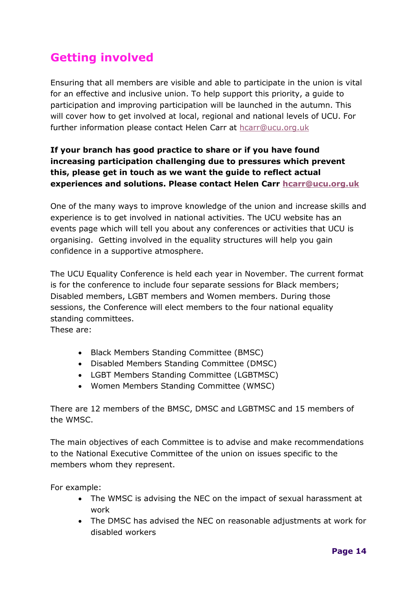# **Getting involved**

Ensuring that all members are visible and able to participate in the union is vital for an effective and inclusive union. To help support this priority, a guide to participation and improving participation will be launched in the autumn. This will cover how to get involved at local, regional and national levels of UCU. For further information please contact Helen Carr at [hcarr@ucu.org.uk](mailto:hcarr@ucu.org.uk)

#### **If your branch has good practice to share or if you have found increasing participation challenging due to pressures which prevent this, please get in touch as we want the guide to reflect actual experiences and solutions. Please contact Helen Carr [hcarr@ucu.org.uk](mailto:hcarr@ucu.org.uk)**

One of the many ways to improve knowledge of the union and increase skills and experience is to get involved in national activities. The UCU website has an events page which will tell you about any conferences or activities that UCU is organising. Getting involved in the equality structures will help you gain confidence in a supportive atmosphere.

The UCU Equality Conference is held each year in November. The current format is for the conference to include four separate sessions for Black members; Disabled members, LGBT members and Women members. During those sessions, the Conference will elect members to the four national equality standing committees.

These are:

- Black Members Standing Committee (BMSC)
- Disabled Members Standing Committee (DMSC)
- LGBT Members Standing Committee (LGBTMSC)
- Women Members Standing Committee (WMSC)

There are 12 members of the BMSC, DMSC and LGBTMSC and 15 members of the WMSC.

The main objectives of each Committee is to advise and make recommendations to the National Executive Committee of the union on issues specific to the members whom they represent.

For example:

- The WMSC is advising the NEC on the impact of sexual harassment at work
- The DMSC has advised the NEC on reasonable adjustments at work for disabled workers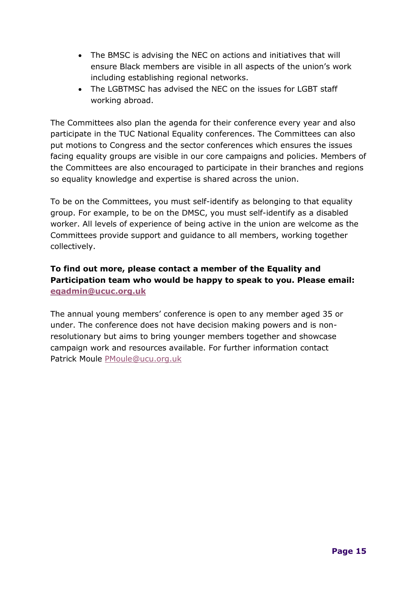- The BMSC is advising the NEC on actions and initiatives that will ensure Black members are visible in all aspects of the union's work including establishing regional networks.
- The LGBTMSC has advised the NEC on the issues for LGBT staff working abroad.

The Committees also plan the agenda for their conference every year and also participate in the TUC National Equality conferences. The Committees can also put motions to Congress and the sector conferences which ensures the issues facing equality groups are visible in our core campaigns and policies. Members of the Committees are also encouraged to participate in their branches and regions so equality knowledge and expertise is shared across the union.

To be on the Committees, you must self-identify as belonging to that equality group. For example, to be on the DMSC, you must self-identify as a disabled worker. All levels of experience of being active in the union are welcome as the Committees provide support and guidance to all members, working together collectively.

#### **To find out more, please contact a member of the Equality and Participation team who would be happy to speak to you. Please email: [eqadmin@ucuc.org.uk](mailto:eqadmin@ucuc.org.uk)**

The annual young members' conference is open to any member aged 35 or under. The conference does not have decision making powers and is nonresolutionary but aims to bring younger members together and showcase campaign work and resources available. For further information contact Patrick Moule [PMoule@ucu.org.uk](mailto:PMoule@ucu.org.uk)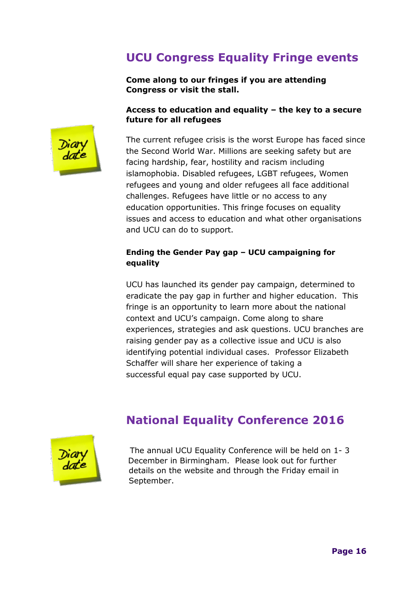# **UCU Congress Equality Fringe events**

**Come along to our fringes if you are attending Congress or visit the stall.**

#### **Access to education and equality – the key to a secure future for all refugees**



The current refugee crisis is the worst Europe has faced since the Second World War. Millions are seeking safety but are facing hardship, fear, hostility and racism including islamophobia. Disabled refugees, LGBT refugees, Women refugees and young and older refugees all face additional challenges. Refugees have little or no access to any education opportunities. This fringe focuses on equality issues and access to education and what other organisations and UCU can do to support.

#### **Ending the Gender Pay gap – UCU campaigning for equality**

UCU has launched its gender pay campaign, determined to eradicate the pay gap in further and higher education. This fringe is an opportunity to learn more about the national context and UCU's campaign. Come along to share experiences, strategies and ask questions. UCU branches are raising gender pay as a collective issue and UCU is also identifying potential individual cases. Professor Elizabeth Schaffer will share her experience of taking a successful equal pay case supported by UCU.

# **National Equality Conference 2016**



The annual UCU Equality Conference will be held on 1- 3 December in Birmingham. Please look out for further details on the website and through the Friday email in September.